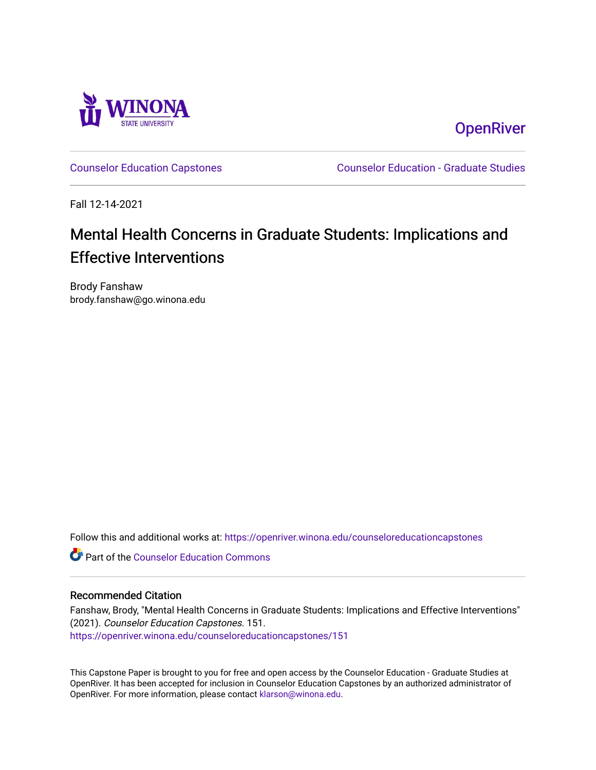

**OpenRiver** 

[Counselor Education Capstones](https://openriver.winona.edu/counseloreducationcapstones) [Counselor Education - Graduate Studies](https://openriver.winona.edu/counseloreducation) 

Fall 12-14-2021

# Mental Health Concerns in Graduate Students: Implications and **Effective Interventions**

Brody Fanshaw brody.fanshaw@go.winona.edu

Follow this and additional works at: [https://openriver.winona.edu/counseloreducationcapstones](https://openriver.winona.edu/counseloreducationcapstones?utm_source=openriver.winona.edu%2Fcounseloreducationcapstones%2F151&utm_medium=PDF&utm_campaign=PDFCoverPages)

**C** Part of the Counselor Education Commons

# Recommended Citation

Fanshaw, Brody, "Mental Health Concerns in Graduate Students: Implications and Effective Interventions" (2021). Counselor Education Capstones. 151. [https://openriver.winona.edu/counseloreducationcapstones/151](https://openriver.winona.edu/counseloreducationcapstones/151?utm_source=openriver.winona.edu%2Fcounseloreducationcapstones%2F151&utm_medium=PDF&utm_campaign=PDFCoverPages)

This Capstone Paper is brought to you for free and open access by the Counselor Education - Graduate Studies at OpenRiver. It has been accepted for inclusion in Counselor Education Capstones by an authorized administrator of OpenRiver. For more information, please contact [klarson@winona.edu](mailto:klarson@winona.edu).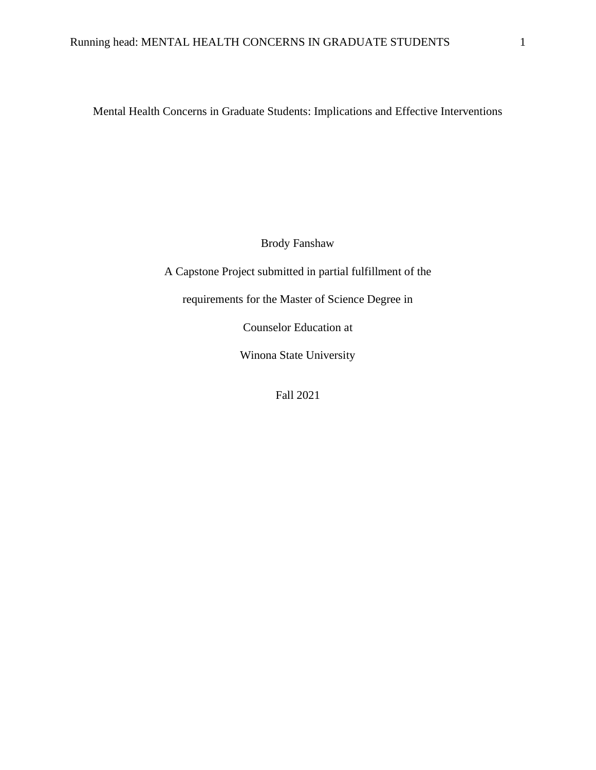Mental Health Concerns in Graduate Students: Implications and Effective Interventions

Brody Fanshaw

A Capstone Project submitted in partial fulfillment of the

requirements for the Master of Science Degree in

Counselor Education at

Winona State University

Fall 2021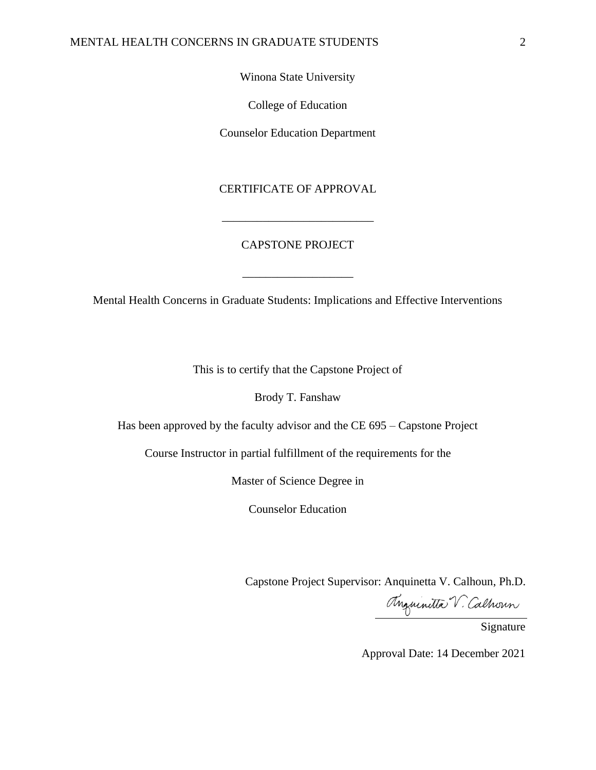## MENTAL HEALTH CONCERNS IN GRADUATE STUDENTS 2

Winona State University

College of Education

Counselor Education Department

# CERTIFICATE OF APPROVAL

# CAPSTONE PROJECT

\_\_\_\_\_\_\_\_\_\_\_\_\_\_\_\_\_\_\_\_\_\_\_\_\_\_

Mental Health Concerns in Graduate Students: Implications and Effective Interventions

\_\_\_\_\_\_\_\_\_\_\_\_\_\_\_\_\_\_\_

This is to certify that the Capstone Project of

Brody T. Fanshaw

Has been approved by the faculty advisor and the CE 695 – Capstone Project

Course Instructor in partial fulfillment of the requirements for the

Master of Science Degree in

Counselor Education

Capstone Project Supervisor: Anquinetta V. Calhoun, Ph.D.

Mauritta V. Calhoun

Approval Date: 14 December 2021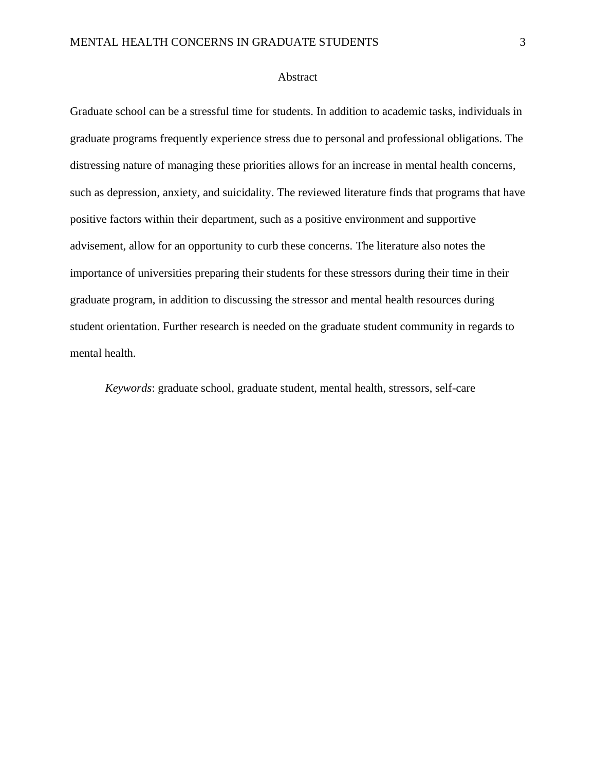#### Abstract

Graduate school can be a stressful time for students. In addition to academic tasks, individuals in graduate programs frequently experience stress due to personal and professional obligations. The distressing nature of managing these priorities allows for an increase in mental health concerns, such as depression, anxiety, and suicidality. The reviewed literature finds that programs that have positive factors within their department, such as a positive environment and supportive advisement, allow for an opportunity to curb these concerns. The literature also notes the importance of universities preparing their students for these stressors during their time in their graduate program, in addition to discussing the stressor and mental health resources during student orientation. Further research is needed on the graduate student community in regards to mental health.

*Keywords*: graduate school, graduate student, mental health, stressors, self-care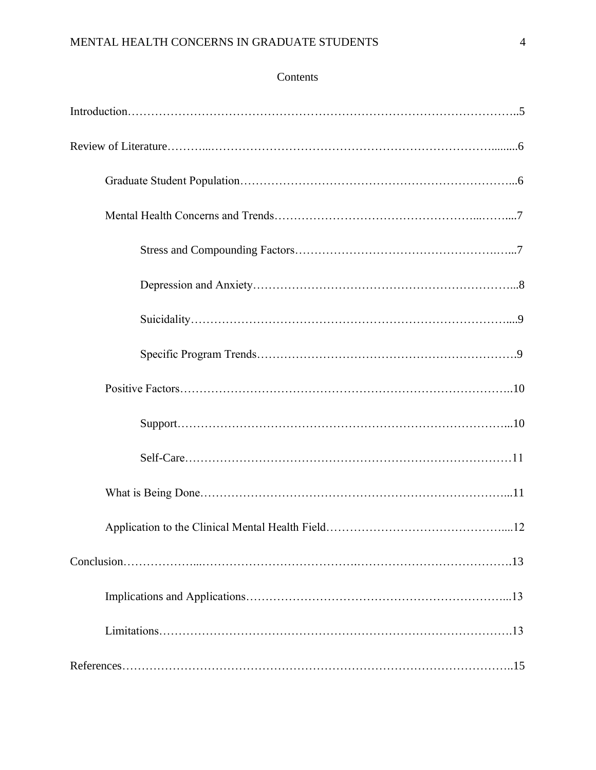# Contents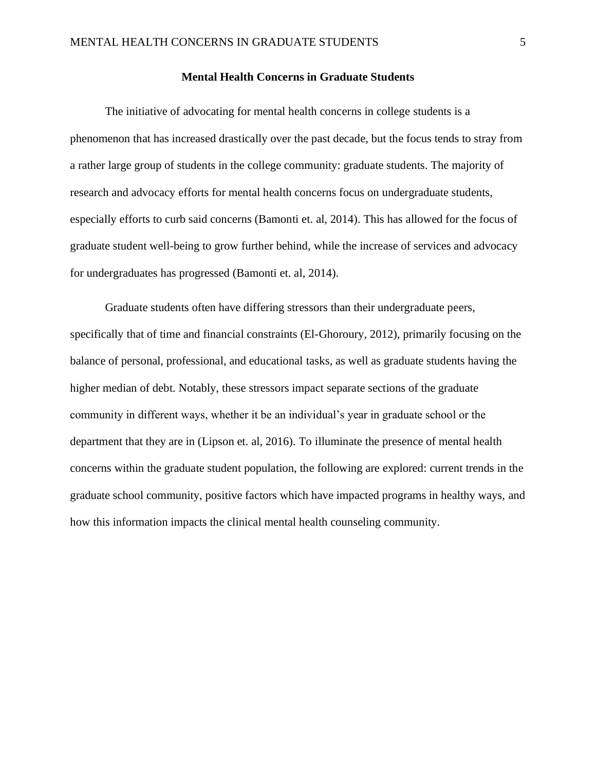#### **Mental Health Concerns in Graduate Students**

The initiative of advocating for mental health concerns in college students is a phenomenon that has increased drastically over the past decade, but the focus tends to stray from a rather large group of students in the college community: graduate students. The majority of research and advocacy efforts for mental health concerns focus on undergraduate students, especially efforts to curb said concerns (Bamonti et. al, 2014). This has allowed for the focus of graduate student well-being to grow further behind, while the increase of services and advocacy for undergraduates has progressed (Bamonti et. al, 2014).

Graduate students often have differing stressors than their undergraduate peers, specifically that of time and financial constraints (El-Ghoroury, 2012), primarily focusing on the balance of personal, professional, and educational tasks, as well as graduate students having the higher median of debt. Notably, these stressors impact separate sections of the graduate community in different ways, whether it be an individual's year in graduate school or the department that they are in (Lipson et. al, 2016). To illuminate the presence of mental health concerns within the graduate student population, the following are explored: current trends in the graduate school community, positive factors which have impacted programs in healthy ways, and how this information impacts the clinical mental health counseling community.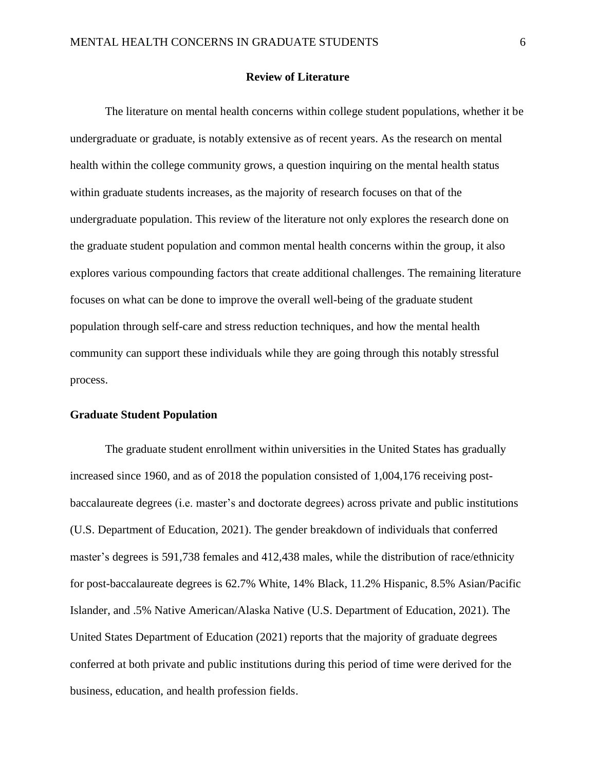#### **Review of Literature**

The literature on mental health concerns within college student populations, whether it be undergraduate or graduate, is notably extensive as of recent years. As the research on mental health within the college community grows, a question inquiring on the mental health status within graduate students increases, as the majority of research focuses on that of the undergraduate population. This review of the literature not only explores the research done on the graduate student population and common mental health concerns within the group, it also explores various compounding factors that create additional challenges. The remaining literature focuses on what can be done to improve the overall well-being of the graduate student population through self-care and stress reduction techniques, and how the mental health community can support these individuals while they are going through this notably stressful process.

#### **Graduate Student Population**

The graduate student enrollment within universities in the United States has gradually increased since 1960, and as of 2018 the population consisted of 1,004,176 receiving postbaccalaureate degrees (i.e. master's and doctorate degrees) across private and public institutions (U.S. Department of Education, 2021). The gender breakdown of individuals that conferred master's degrees is 591,738 females and 412,438 males, while the distribution of race/ethnicity for post-baccalaureate degrees is 62.7% White, 14% Black, 11.2% Hispanic, 8.5% Asian/Pacific Islander, and .5% Native American/Alaska Native (U.S. Department of Education, 2021). The United States Department of Education (2021) reports that the majority of graduate degrees conferred at both private and public institutions during this period of time were derived for the business, education, and health profession fields.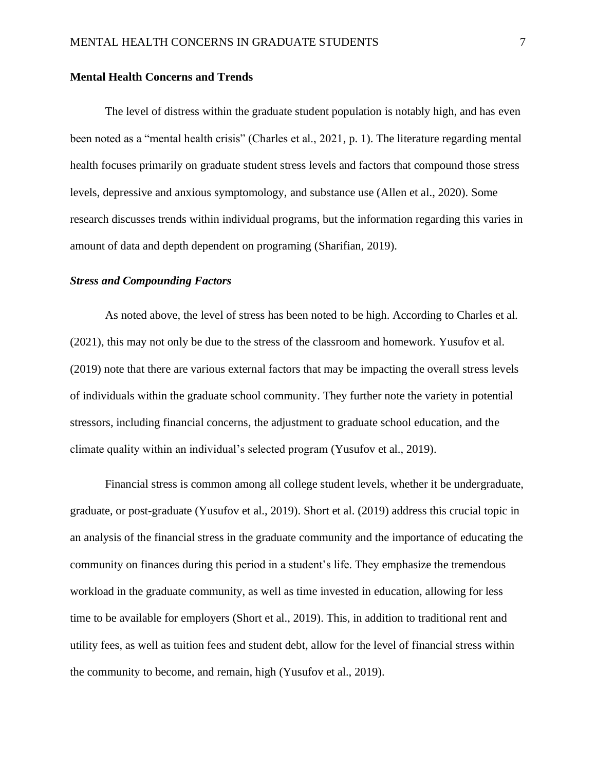#### **Mental Health Concerns and Trends**

The level of distress within the graduate student population is notably high, and has even been noted as a "mental health crisis" (Charles et al., 2021, p. 1). The literature regarding mental health focuses primarily on graduate student stress levels and factors that compound those stress levels, depressive and anxious symptomology, and substance use (Allen et al., 2020). Some research discusses trends within individual programs, but the information regarding this varies in amount of data and depth dependent on programing (Sharifian, 2019).

#### *Stress and Compounding Factors*

As noted above, the level of stress has been noted to be high. According to Charles et al. (2021), this may not only be due to the stress of the classroom and homework. Yusufov et al. (2019) note that there are various external factors that may be impacting the overall stress levels of individuals within the graduate school community. They further note the variety in potential stressors, including financial concerns, the adjustment to graduate school education, and the climate quality within an individual's selected program (Yusufov et al., 2019).

Financial stress is common among all college student levels, whether it be undergraduate, graduate, or post-graduate (Yusufov et al., 2019). Short et al. (2019) address this crucial topic in an analysis of the financial stress in the graduate community and the importance of educating the community on finances during this period in a student's life. They emphasize the tremendous workload in the graduate community, as well as time invested in education, allowing for less time to be available for employers (Short et al., 2019). This, in addition to traditional rent and utility fees, as well as tuition fees and student debt, allow for the level of financial stress within the community to become, and remain, high (Yusufov et al., 2019).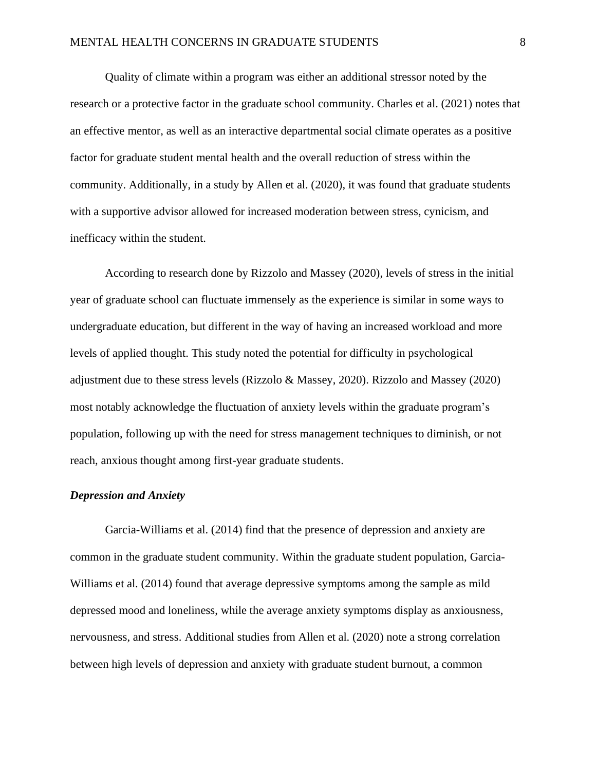Quality of climate within a program was either an additional stressor noted by the research or a protective factor in the graduate school community. Charles et al. (2021) notes that an effective mentor, as well as an interactive departmental social climate operates as a positive factor for graduate student mental health and the overall reduction of stress within the community. Additionally, in a study by Allen et al. (2020), it was found that graduate students with a supportive advisor allowed for increased moderation between stress, cynicism, and inefficacy within the student.

According to research done by Rizzolo and Massey (2020), levels of stress in the initial year of graduate school can fluctuate immensely as the experience is similar in some ways to undergraduate education, but different in the way of having an increased workload and more levels of applied thought. This study noted the potential for difficulty in psychological adjustment due to these stress levels (Rizzolo & Massey, 2020). Rizzolo and Massey (2020) most notably acknowledge the fluctuation of anxiety levels within the graduate program's population, following up with the need for stress management techniques to diminish, or not reach, anxious thought among first-year graduate students.

#### *Depression and Anxiety*

Garcia-Williams et al. (2014) find that the presence of depression and anxiety are common in the graduate student community. Within the graduate student population, Garcia-Williams et al. (2014) found that average depressive symptoms among the sample as mild depressed mood and loneliness, while the average anxiety symptoms display as anxiousness, nervousness, and stress. Additional studies from Allen et al. (2020) note a strong correlation between high levels of depression and anxiety with graduate student burnout, a common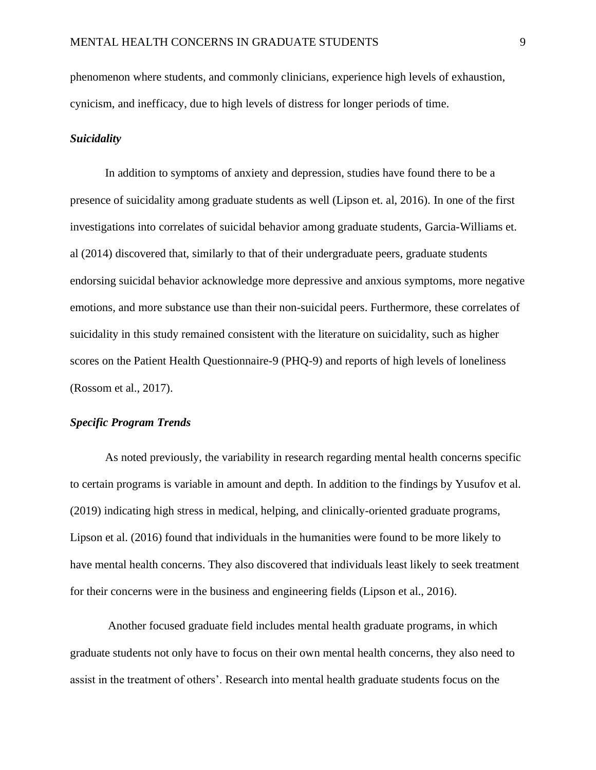phenomenon where students, and commonly clinicians, experience high levels of exhaustion, cynicism, and inefficacy, due to high levels of distress for longer periods of time.

#### *Suicidality*

In addition to symptoms of anxiety and depression, studies have found there to be a presence of suicidality among graduate students as well (Lipson et. al, 2016). In one of the first investigations into correlates of suicidal behavior among graduate students, Garcia-Williams et. al (2014) discovered that, similarly to that of their undergraduate peers, graduate students endorsing suicidal behavior acknowledge more depressive and anxious symptoms, more negative emotions, and more substance use than their non-suicidal peers. Furthermore, these correlates of suicidality in this study remained consistent with the literature on suicidality, such as higher scores on the Patient Health Questionnaire-9 (PHQ-9) and reports of high levels of loneliness (Rossom et al., 2017).

# *Specific Program Trends*

As noted previously, the variability in research regarding mental health concerns specific to certain programs is variable in amount and depth. In addition to the findings by Yusufov et al. (2019) indicating high stress in medical, helping, and clinically-oriented graduate programs, Lipson et al. (2016) found that individuals in the humanities were found to be more likely to have mental health concerns. They also discovered that individuals least likely to seek treatment for their concerns were in the business and engineering fields (Lipson et al., 2016).

Another focused graduate field includes mental health graduate programs, in which graduate students not only have to focus on their own mental health concerns, they also need to assist in the treatment of others'. Research into mental health graduate students focus on the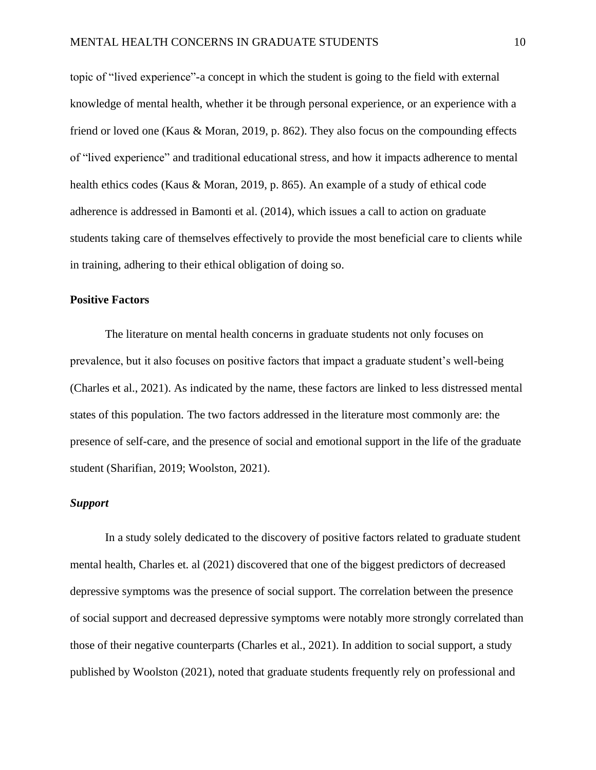topic of "lived experience"-a concept in which the student is going to the field with external knowledge of mental health, whether it be through personal experience, or an experience with a friend or loved one (Kaus & Moran, 2019, p. 862). They also focus on the compounding effects of "lived experience" and traditional educational stress, and how it impacts adherence to mental health ethics codes (Kaus & Moran, 2019, p. 865). An example of a study of ethical code adherence is addressed in Bamonti et al. (2014), which issues a call to action on graduate students taking care of themselves effectively to provide the most beneficial care to clients while in training, adhering to their ethical obligation of doing so.

# **Positive Factors**

The literature on mental health concerns in graduate students not only focuses on prevalence, but it also focuses on positive factors that impact a graduate student's well-being (Charles et al., 2021). As indicated by the name, these factors are linked to less distressed mental states of this population. The two factors addressed in the literature most commonly are: the presence of self-care, and the presence of social and emotional support in the life of the graduate student (Sharifian, 2019; Woolston, 2021).

# *Support*

In a study solely dedicated to the discovery of positive factors related to graduate student mental health, Charles et. al (2021) discovered that one of the biggest predictors of decreased depressive symptoms was the presence of social support. The correlation between the presence of social support and decreased depressive symptoms were notably more strongly correlated than those of their negative counterparts (Charles et al., 2021). In addition to social support, a study published by Woolston (2021), noted that graduate students frequently rely on professional and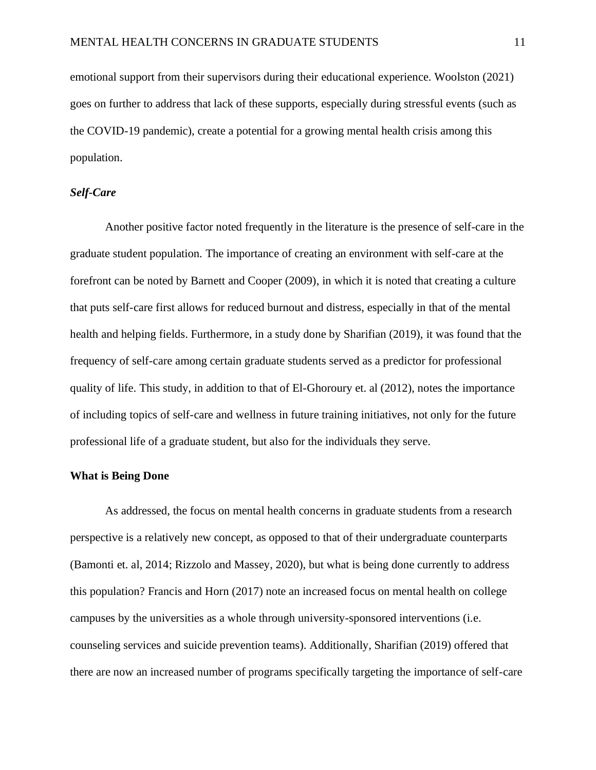emotional support from their supervisors during their educational experience. Woolston (2021) goes on further to address that lack of these supports, especially during stressful events (such as the COVID-19 pandemic), create a potential for a growing mental health crisis among this population.

# *Self-Care*

Another positive factor noted frequently in the literature is the presence of self-care in the graduate student population. The importance of creating an environment with self-care at the forefront can be noted by Barnett and Cooper (2009), in which it is noted that creating a culture that puts self-care first allows for reduced burnout and distress, especially in that of the mental health and helping fields. Furthermore, in a study done by Sharifian (2019), it was found that the frequency of self-care among certain graduate students served as a predictor for professional quality of life. This study, in addition to that of El-Ghoroury et. al (2012), notes the importance of including topics of self-care and wellness in future training initiatives, not only for the future professional life of a graduate student, but also for the individuals they serve.

# **What is Being Done**

As addressed, the focus on mental health concerns in graduate students from a research perspective is a relatively new concept, as opposed to that of their undergraduate counterparts (Bamonti et. al, 2014; Rizzolo and Massey, 2020), but what is being done currently to address this population? Francis and Horn (2017) note an increased focus on mental health on college campuses by the universities as a whole through university-sponsored interventions (i.e. counseling services and suicide prevention teams). Additionally, Sharifian (2019) offered that there are now an increased number of programs specifically targeting the importance of self-care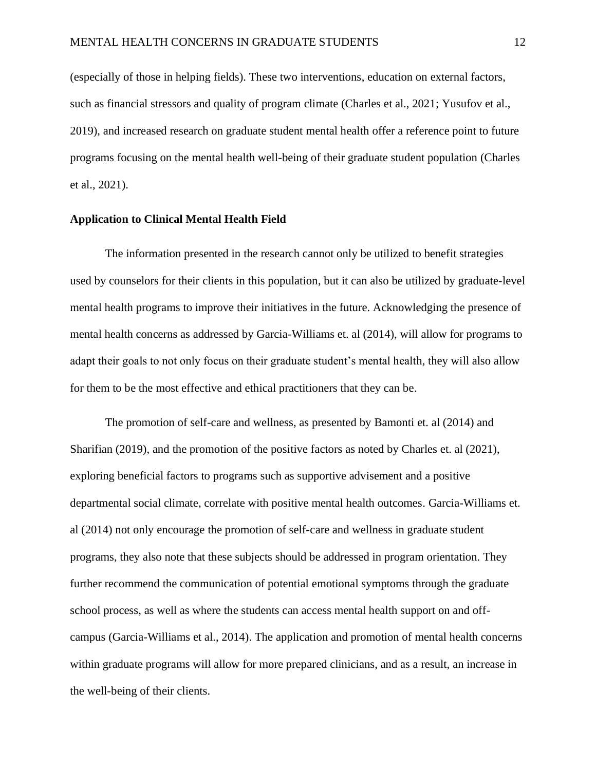(especially of those in helping fields). These two interventions, education on external factors, such as financial stressors and quality of program climate (Charles et al., 2021; Yusufov et al., 2019), and increased research on graduate student mental health offer a reference point to future programs focusing on the mental health well-being of their graduate student population (Charles et al., 2021).

#### **Application to Clinical Mental Health Field**

The information presented in the research cannot only be utilized to benefit strategies used by counselors for their clients in this population, but it can also be utilized by graduate-level mental health programs to improve their initiatives in the future. Acknowledging the presence of mental health concerns as addressed by Garcia-Williams et. al (2014), will allow for programs to adapt their goals to not only focus on their graduate student's mental health, they will also allow for them to be the most effective and ethical practitioners that they can be.

The promotion of self-care and wellness, as presented by Bamonti et. al (2014) and Sharifian (2019), and the promotion of the positive factors as noted by Charles et. al (2021), exploring beneficial factors to programs such as supportive advisement and a positive departmental social climate, correlate with positive mental health outcomes. Garcia-Williams et. al (2014) not only encourage the promotion of self-care and wellness in graduate student programs, they also note that these subjects should be addressed in program orientation. They further recommend the communication of potential emotional symptoms through the graduate school process, as well as where the students can access mental health support on and offcampus (Garcia-Williams et al., 2014). The application and promotion of mental health concerns within graduate programs will allow for more prepared clinicians, and as a result, an increase in the well-being of their clients.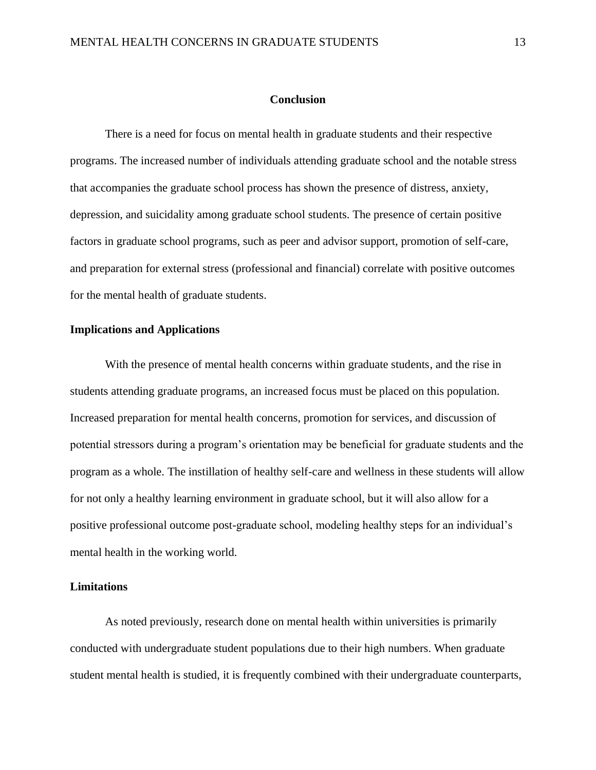#### **Conclusion**

There is a need for focus on mental health in graduate students and their respective programs. The increased number of individuals attending graduate school and the notable stress that accompanies the graduate school process has shown the presence of distress, anxiety, depression, and suicidality among graduate school students. The presence of certain positive factors in graduate school programs, such as peer and advisor support, promotion of self-care, and preparation for external stress (professional and financial) correlate with positive outcomes for the mental health of graduate students.

# **Implications and Applications**

With the presence of mental health concerns within graduate students, and the rise in students attending graduate programs, an increased focus must be placed on this population. Increased preparation for mental health concerns, promotion for services, and discussion of potential stressors during a program's orientation may be beneficial for graduate students and the program as a whole. The instillation of healthy self-care and wellness in these students will allow for not only a healthy learning environment in graduate school, but it will also allow for a positive professional outcome post-graduate school, modeling healthy steps for an individual's mental health in the working world.

#### **Limitations**

As noted previously, research done on mental health within universities is primarily conducted with undergraduate student populations due to their high numbers. When graduate student mental health is studied, it is frequently combined with their undergraduate counterparts,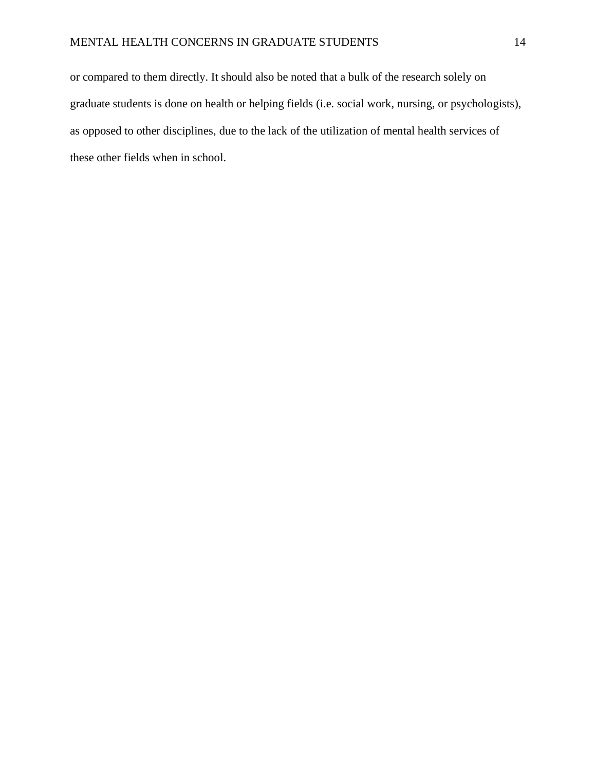or compared to them directly. It should also be noted that a bulk of the research solely on graduate students is done on health or helping fields (i.e. social work, nursing, or psychologists), as opposed to other disciplines, due to the lack of the utilization of mental health services of these other fields when in school.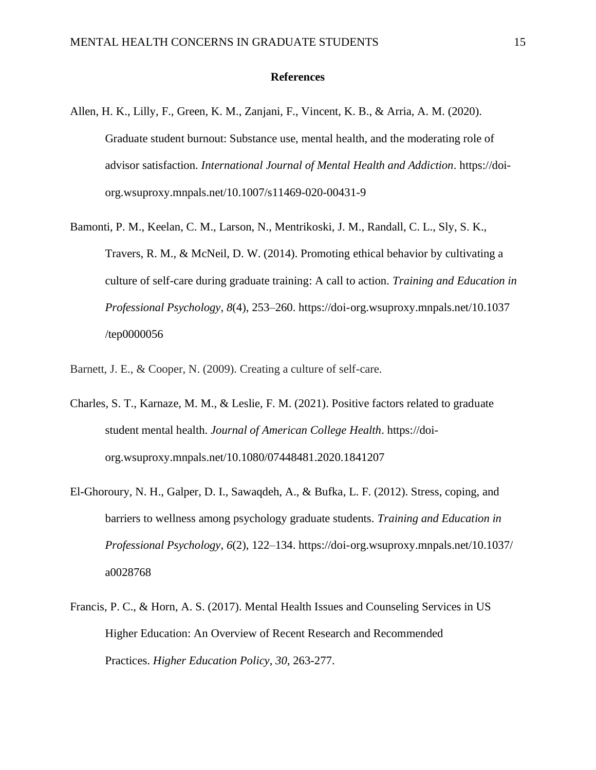#### **References**

- Allen, H. K., Lilly, F., Green, K. M., Zanjani, F., Vincent, K. B., & Arria, A. M. (2020). Graduate student burnout: Substance use, mental health, and the moderating role of advisor satisfaction. *International Journal of Mental Health and Addiction*. https://doiorg.wsuproxy.mnpals.net/10.1007/s11469-020-00431-9
- Bamonti, P. M., Keelan, C. M., Larson, N., Mentrikoski, J. M., Randall, C. L., Sly, S. K., Travers, R. M., & McNeil, D. W. (2014). Promoting ethical behavior by cultivating a culture of self-care during graduate training: A call to action. *Training and Education in Professional Psychology*, *8*(4), 253–260. https://doi-org.wsuproxy.mnpals.net/10.1037 /tep0000056
- Barnett, J. E., & Cooper, N. (2009). Creating a culture of self-care.
- Charles, S. T., Karnaze, M. M., & Leslie, F. M. (2021). Positive factors related to graduate student mental health. *Journal of American College Health*. https://doiorg.wsuproxy.mnpals.net/10.1080/07448481.2020.1841207
- El-Ghoroury, N. H., Galper, D. I., Sawaqdeh, A., & Bufka, L. F. (2012). Stress, coping, and barriers to wellness among psychology graduate students. *Training and Education in Professional Psychology*, *6*(2), 122–134. https://doi-org.wsuproxy.mnpals.net/10.1037/ a0028768
- Francis, P. C., & Horn, A. S. (2017). Mental Health Issues and Counseling Services in US Higher Education: An Overview of Recent Research and Recommended Practices. *Higher Education Policy*, *30*, 263-277.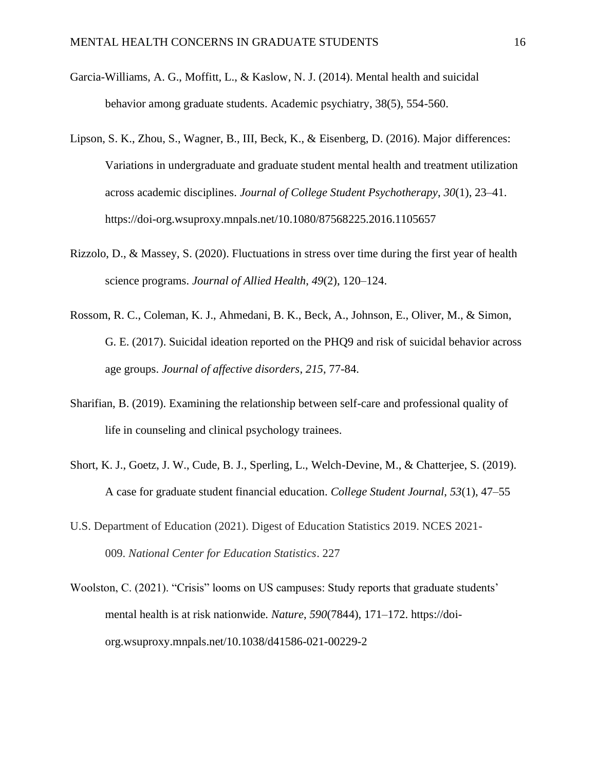- Garcia-Williams, A. G., Moffitt, L., & Kaslow, N. J. (2014). Mental health and suicidal behavior among graduate students. Academic psychiatry, 38(5), 554-560.
- Lipson, S. K., Zhou, S., Wagner, B., III, Beck, K., & Eisenberg, D. (2016). Major differences: Variations in undergraduate and graduate student mental health and treatment utilization across academic disciplines. *Journal of College Student Psychotherapy*, *30*(1), 23–41. https://doi-org.wsuproxy.mnpals.net/10.1080/87568225.2016.1105657
- Rizzolo, D., & Massey, S. (2020). Fluctuations in stress over time during the first year of health science programs. *Journal of Allied Health*, *49*(2), 120–124.
- Rossom, R. C., Coleman, K. J., Ahmedani, B. K., Beck, A., Johnson, E., Oliver, M., & Simon, G. E. (2017). Suicidal ideation reported on the PHQ9 and risk of suicidal behavior across age groups. *Journal of affective disorders*, *215*, 77-84.
- Sharifian, B. (2019). Examining the relationship between self-care and professional quality of life in counseling and clinical psychology trainees.
- Short, K. J., Goetz, J. W., Cude, B. J., Sperling, L., Welch-Devine, M., & Chatterjee, S. (2019). A case for graduate student financial education. *College Student Journal*, *53*(1), 47–55
- U.S. Department of Education (2021). Digest of Education Statistics 2019. NCES 2021- 009. *National Center for Education Statistics*. 227
- Woolston, C. (2021). "Crisis" looms on US campuses: Study reports that graduate students' mental health is at risk nationwide. *Nature*, *590*(7844), 171–172. https://doiorg.wsuproxy.mnpals.net/10.1038/d41586-021-00229-2